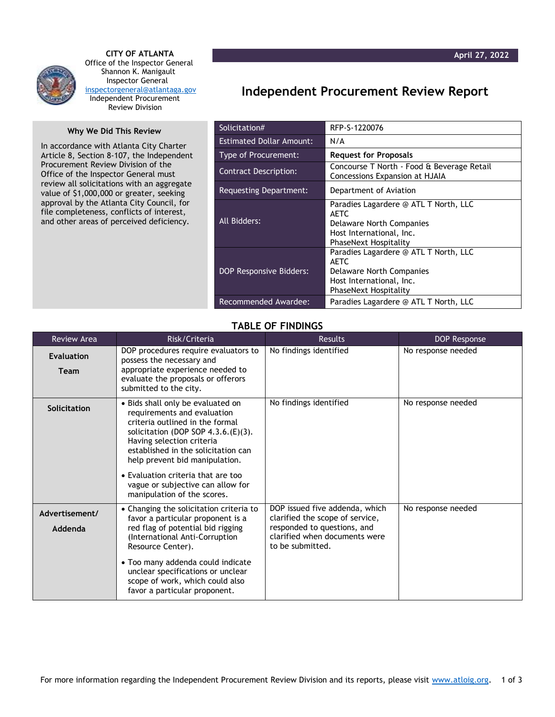

 **CITY OF ATLANTA** Office of the Inspector General Shannon K. Manigault Inspector General [inspectorgeneral@atlantaga.gov](mailto:inspectorgeneral@atlantaga.gov) Independent Procurement Review Division

## **Why We Did This Review**

In accordance with Atlanta City Charter Article 8, Section 8-107, the Independent Procurement Review Division of the Office of the Inspector General must review all solicitations with an aggregate value of \$1,000,000 or greater, seeking approval by the Atlanta City Council, for file completeness, conflicts of interest, and other areas of perceived deficiency.

## **Independent Procurement Review Report**

| Solicitation#                   | RFP-S-1220076                                                                                                                                |  |
|---------------------------------|----------------------------------------------------------------------------------------------------------------------------------------------|--|
| <b>Estimated Dollar Amount:</b> | N/A                                                                                                                                          |  |
| Type of Procurement:            | <b>Request for Proposals</b>                                                                                                                 |  |
| <b>Contract Description:</b>    | Concourse T North - Food & Beverage Retail<br>Concessions Expansion at HJAIA                                                                 |  |
| Requesting Department:          | Department of Aviation                                                                                                                       |  |
| All Bidders:                    | Paradies Lagardere @ ATL T North, LLC<br><b>AETC</b><br>Delaware North Companies<br>Host International, Inc.<br><b>PhaseNext Hospitality</b> |  |
| <b>DOP Responsive Bidders:</b>  | Paradies Lagardere @ ATL T North, LLC<br>AETC.<br>Delaware North Companies<br>Host International, Inc.<br><b>PhaseNext Hospitality</b>       |  |
| Recommended Awardee:            | Paradies Lagardere @ ATL T North, LLC                                                                                                        |  |

## **TABLE OF FINDINGS**

| <b>Review Area</b>               | Risk/Criteria                                                                                                                                                                                                                                                                                                                                                | <b>Results</b>                                                                                                                                        | DOP Response       |
|----------------------------------|--------------------------------------------------------------------------------------------------------------------------------------------------------------------------------------------------------------------------------------------------------------------------------------------------------------------------------------------------------------|-------------------------------------------------------------------------------------------------------------------------------------------------------|--------------------|
| <b>Evaluation</b><br><b>Team</b> | DOP procedures require evaluators to<br>possess the necessary and<br>appropriate experience needed to<br>evaluate the proposals or offerors<br>submitted to the city.                                                                                                                                                                                        | No findings identified                                                                                                                                | No response needed |
| Solicitation                     | · Bids shall only be evaluated on<br>requirements and evaluation<br>criteria outlined in the formal<br>solicitation (DOP SOP $4.3.6(E)(3)$ .<br>Having selection criteria<br>established in the solicitation can<br>help prevent bid manipulation.<br>• Evaluation criteria that are too<br>vague or subjective can allow for<br>manipulation of the scores. | No findings identified                                                                                                                                | No response needed |
| Advertisement/<br>Addenda        | • Changing the solicitation criteria to<br>favor a particular proponent is a<br>red flag of potential bid rigging<br>(International Anti-Corruption<br>Resource Center).<br>• Too many addenda could indicate<br>unclear specifications or unclear<br>scope of work, which could also<br>favor a particular proponent.                                       | DOP issued five addenda, which<br>clarified the scope of service,<br>responded to questions, and<br>clarified when documents were<br>to be submitted. | No response needed |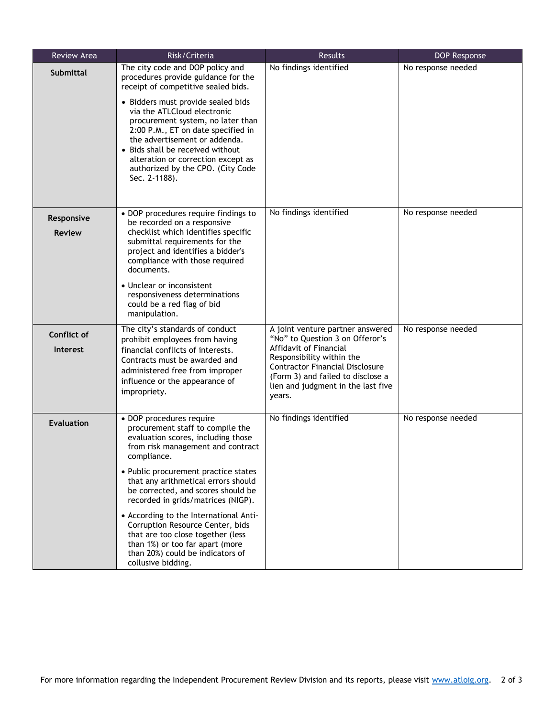| <b>Review Area</b>             | Risk/Criteria                                                                                                                                                                                                                                                                                                                                                                                                                   | Results                                                                                                                                                                                                                                                   | <b>DOP Response</b> |
|--------------------------------|---------------------------------------------------------------------------------------------------------------------------------------------------------------------------------------------------------------------------------------------------------------------------------------------------------------------------------------------------------------------------------------------------------------------------------|-----------------------------------------------------------------------------------------------------------------------------------------------------------------------------------------------------------------------------------------------------------|---------------------|
| <b>Submittal</b>               | The city code and DOP policy and<br>procedures provide guidance for the<br>receipt of competitive sealed bids.<br>• Bidders must provide sealed bids<br>via the ATLCloud electronic<br>procurement system, no later than<br>2:00 P.M., ET on date specified in<br>the advertisement or addenda.<br>• Bids shall be received without<br>alteration or correction except as<br>authorized by the CPO. (City Code<br>Sec. 2-1188). | No findings identified                                                                                                                                                                                                                                    | No response needed  |
| Responsive<br><b>Review</b>    | • DOP procedures require findings to<br>be recorded on a responsive<br>checklist which identifies specific<br>submittal requirements for the<br>project and identifies a bidder's<br>compliance with those required<br>documents.                                                                                                                                                                                               | No findings identified                                                                                                                                                                                                                                    | No response needed  |
|                                | • Unclear or inconsistent<br>responsiveness determinations<br>could be a red flag of bid<br>manipulation.                                                                                                                                                                                                                                                                                                                       |                                                                                                                                                                                                                                                           |                     |
| Conflict of<br><b>Interest</b> | The city's standards of conduct<br>prohibit employees from having<br>financial conflicts of interests.<br>Contracts must be awarded and<br>administered free from improper<br>influence or the appearance of<br>impropriety.                                                                                                                                                                                                    | A joint venture partner answered<br>"No" to Question 3 on Offeror's<br>Affidavit of Financial<br>Responsibility within the<br><b>Contractor Financial Disclosure</b><br>(Form 3) and failed to disclose a<br>lien and judgment in the last five<br>years. | No response needed  |
| <b>Evaluation</b>              | • DOP procedures require<br>procurement staff to compile the<br>evaluation scores, including those<br>from risk management and contract<br>compliance.                                                                                                                                                                                                                                                                          | No findings identified                                                                                                                                                                                                                                    | No response needed  |
|                                | • Public procurement practice states<br>that any arithmetical errors should<br>be corrected, and scores should be<br>recorded in grids/matrices (NIGP).<br>• According to the International Anti-<br>Corruption Resource Center, bids<br>that are too close together (less<br>than 1%) or too far apart (more<br>than 20%) could be indicators of<br>collusive bidding.                                                         |                                                                                                                                                                                                                                                           |                     |